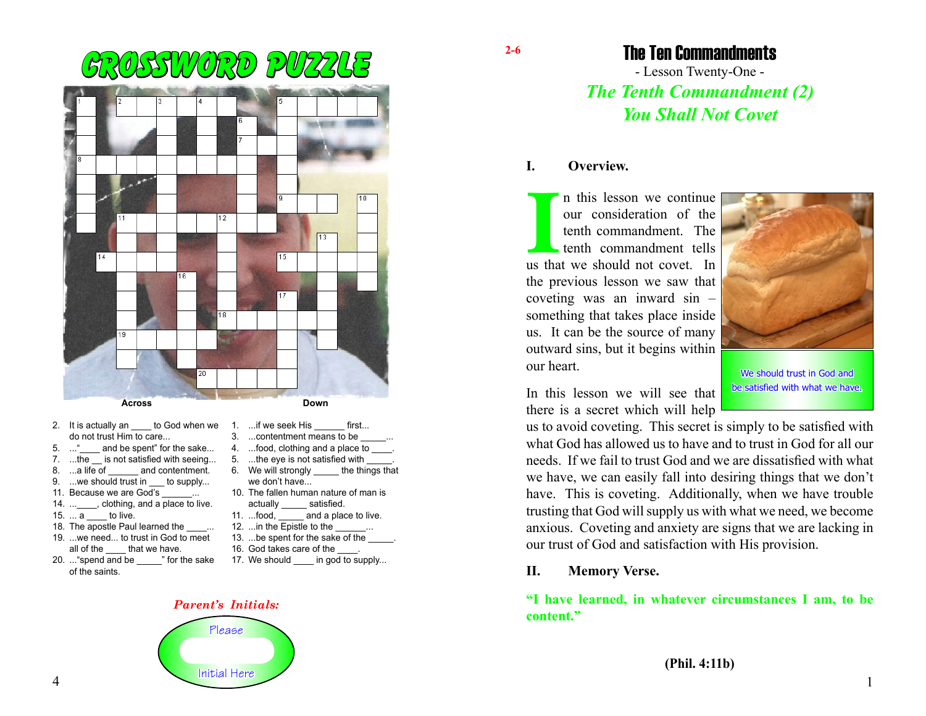

- 2. It is actually an \_\_\_\_ to God when we 1. ...if we seek His \_\_\_\_\_\_ first... do not trust Him to care...
- 5. ... " and be spent" for the sake...
- 7. ...the \_\_ is not satisfied with seeing...
- 8. ...a life of and contentment.
- 9. ...we should trust in to supply...
- 11. Because we are God's
- 14. ... clothing, and a place to live.
- $15. \ldots a$  to live.
- 18. The apostle Paul learned the  $\ldots$
- 19. ...we need... to trust in God to meet all of the that we have.
- 20. ..."spend and be \_\_\_\_\_" for the sake of the saints.
- 3. ...contentment means to be
- 4. ...food, clothing and a place to \_\_\_\_.
- 5. ...the eye is not satisfied with 6. We will strongly the things that we don't have...
- 10. The fallen human nature of man is
- actually \_\_\_\_\_\_ satisfied.<br>11. ...food, and a plack and a place to live.
- 12. ... in the Epistle to the
- 13. ...be spent for the sake of the
- 
- 16. God takes care of the
- 17. We should in god to supply...

### *Parent's Initials:*



The Ten Commandments

- Lesson Twenty-One - *The Tenth Commandment (2) You Shall Not Covet*

### **I. Overview.**

In this lesson we continue<br>
our consideration of the<br>
tenth commandment. The<br>
tenth commandment tells<br>
us that we should not covet. In n this lesson we continue our consideration of the tenth commandment. The tenth commandment tells the previous lesson we saw that coveting was an inward sin – something that takes place inside us. It can be the source of many outward sins, but it begins within our heart.



We should trust in God and be satisfied with what we have.

In this lesson we will see that

there is a secret which will help us to avoid coveting. This secret is simply to be satisfied with what God has allowed us to have and to trust in God for all our needs. If we fail to trust God and we are dissatisfied with what we have, we can easily fall into desiring things that we don't

have. This is coveting. Additionally, when we have trouble trusting that God will supply us with what we need, we become anxious. Coveting and anxiety are signs that we are lacking in our trust of God and satisfaction with His provision.

## **II. Memory Verse.**

## **"I have learned, in whatever circumstances I am, to be content."**